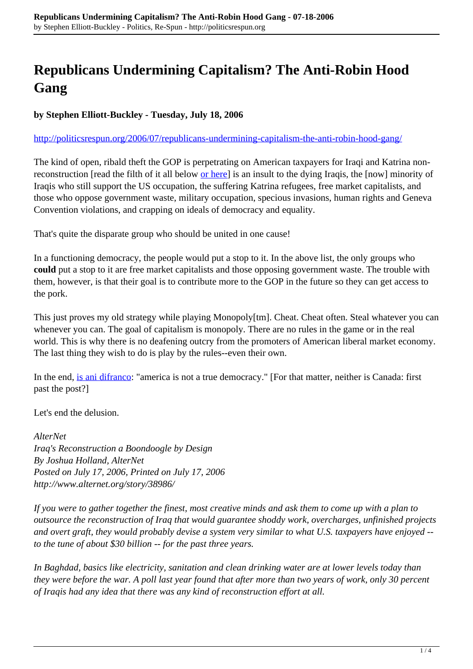## **Republicans Undermining Capitalism? The Anti-Robin Hood Gang**

**by Stephen Elliott-Buckley - Tuesday, July 18, 2006**

<http://politicsrespun.org/2006/07/republicans-undermining-capitalism-the-anti-robin-hood-gang/>

The kind of open, ribald theft the GOP is perpetrating on American taxpayers for Iraqi and Katrina nonreconstruction [read the filth of it all below <u>or here</u>] is an insult to the dying Iraqis, the [now] minority of Iraqis who still support the US occupation, the suffering Katrina refugees, free market capitalists, and those who oppose government waste, military occupation, specious invasions, human rights and Geneva Convention violations, and crapping on ideals of democracy and equality.

That's quite the disparate group who should be united in one cause!

In a functioning democracy, the people would put a stop to it. In the above list, the only groups who **could** put a stop to it are free market capitalists and those opposing government waste. The trouble with them, however, is that their goal is to contribute more to the GOP in the future so they can get access to the pork.

This just proves my old strategy while playing Monopoly[tm]. Cheat. Cheat often. Steal whatever you can whenever you can. The goal of capitalism is monopoly. There are no rules in the game or in the real world. This is why there is no deafening outcry from the promoters of American liberal market economy. The last thing they wish to do is play by the rules--even their own.

In the end, [is ani difranco](http://www.righteousbabe.com/ani/l_self_evident.asp): "america is not a true democracy." [For that matter, neither is Canada: first past the post?]

Let's end the delusion.

*AlterNet Iraq's Reconstruction a Boondoogle by Design By Joshua Holland, AlterNet Posted on July 17, 2006, Printed on July 17, 2006 http://www.alternet.org/story/38986/*

*If you were to gather together the finest, most creative minds and ask them to come up with a plan to outsource the reconstruction of Iraq that would guarantee shoddy work, overcharges, unfinished projects and overt graft, they would probably devise a system very similar to what U.S. taxpayers have enjoyed - to the tune of about \$30 billion -- for the past three years.*

*In Baghdad, basics like electricity, sanitation and clean drinking water are at lower levels today than they were before the war. A poll last year found that after more than two years of work, only 30 percent of Iraqis had any idea that there was any kind of reconstruction effort at all.*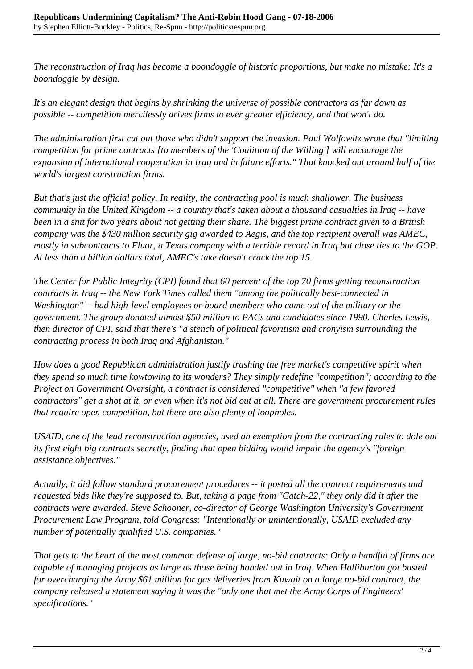*The reconstruction of Iraq has become a boondoggle of historic proportions, but make no mistake: It's a boondoggle by design.*

*It's an elegant design that begins by shrinking the universe of possible contractors as far down as possible -- competition mercilessly drives firms to ever greater efficiency, and that won't do.*

*The administration first cut out those who didn't support the invasion. Paul Wolfowitz wrote that "limiting competition for prime contracts [to members of the 'Coalition of the Willing'] will encourage the expansion of international cooperation in Iraq and in future efforts." That knocked out around half of the world's largest construction firms.*

*But that's just the official policy. In reality, the contracting pool is much shallower. The business community in the United Kingdom -- a country that's taken about a thousand casualties in Iraq -- have been in a snit for two years about not getting their share. The biggest prime contract given to a British company was the \$430 million security gig awarded to Aegis, and the top recipient overall was AMEC, mostly in subcontracts to Fluor, a Texas company with a terrible record in Iraq but close ties to the GOP. At less than a billion dollars total, AMEC's take doesn't crack the top 15.*

*The Center for Public Integrity (CPI) found that 60 percent of the top 70 firms getting reconstruction contracts in Iraq -- the New York Times called them "among the politically best-connected in Washington" -- had high-level employees or board members who came out of the military or the government. The group donated almost \$50 million to PACs and candidates since 1990. Charles Lewis, then director of CPI, said that there's "a stench of political favoritism and cronyism surrounding the contracting process in both Iraq and Afghanistan."*

*How does a good Republican administration justify trashing the free market's competitive spirit when they spend so much time kowtowing to its wonders? They simply redefine "competition"; according to the Project on Government Oversight, a contract is considered "competitive" when "a few favored contractors" get a shot at it, or even when it's not bid out at all. There are government procurement rules that require open competition, but there are also plenty of loopholes.*

*USAID, one of the lead reconstruction agencies, used an exemption from the contracting rules to dole out its first eight big contracts secretly, finding that open bidding would impair the agency's "foreign assistance objectives."*

*Actually, it did follow standard procurement procedures -- it posted all the contract requirements and requested bids like they're supposed to. But, taking a page from "Catch-22," they only did it after the contracts were awarded. Steve Schooner, co-director of George Washington University's Government Procurement Law Program, told Congress: "Intentionally or unintentionally, USAID excluded any number of potentially qualified U.S. companies."*

*That gets to the heart of the most common defense of large, no-bid contracts: Only a handful of firms are capable of managing projects as large as those being handed out in Iraq. When Halliburton got busted for overcharging the Army \$61 million for gas deliveries from Kuwait on a large no-bid contract, the company released a statement saying it was the "only one that met the Army Corps of Engineers' specifications."*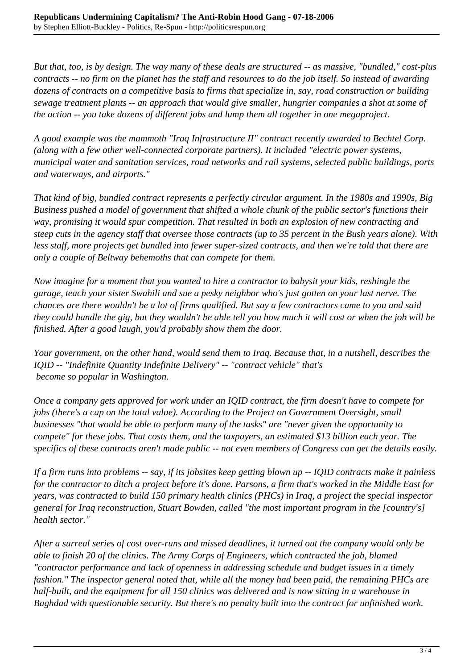*But that, too, is by design. The way many of these deals are structured -- as massive, "bundled," cost-plus contracts -- no firm on the planet has the staff and resources to do the job itself. So instead of awarding dozens of contracts on a competitive basis to firms that specialize in, say, road construction or building sewage treatment plants -- an approach that would give smaller, hungrier companies a shot at some of the action -- you take dozens of different jobs and lump them all together in one megaproject.*

*A good example was the mammoth "Iraq Infrastructure II" contract recently awarded to Bechtel Corp. (along with a few other well-connected corporate partners). It included "electric power systems, municipal water and sanitation services, road networks and rail systems, selected public buildings, ports and waterways, and airports."*

*That kind of big, bundled contract represents a perfectly circular argument. In the 1980s and 1990s, Big Business pushed a model of government that shifted a whole chunk of the public sector's functions their way, promising it would spur competition. That resulted in both an explosion of new contracting and steep cuts in the agency staff that oversee those contracts (up to 35 percent in the Bush years alone). With less staff, more projects get bundled into fewer super-sized contracts, and then we're told that there are only a couple of Beltway behemoths that can compete for them.*

*Now imagine for a moment that you wanted to hire a contractor to babysit your kids, reshingle the garage, teach your sister Swahili and sue a pesky neighbor who's just gotten on your last nerve. The chances are there wouldn't be a lot of firms qualified. But say a few contractors came to you and said they could handle the gig, but they wouldn't be able tell you how much it will cost or when the job will be finished. After a good laugh, you'd probably show them the door.*

*Your government, on the other hand, would send them to Iraq. Because that, in a nutshell, describes the IQID -- "Indefinite Quantity Indefinite Delivery" -- "contract vehicle" that's become so popular in Washington.*

*Once a company gets approved for work under an IQID contract, the firm doesn't have to compete for jobs (there's a cap on the total value). According to the Project on Government Oversight, small businesses "that would be able to perform many of the tasks" are "never given the opportunity to compete" for these jobs. That costs them, and the taxpayers, an estimated \$13 billion each year. The specifics of these contracts aren't made public -- not even members of Congress can get the details easily.*

*If a firm runs into problems -- say, if its jobsites keep getting blown up -- IQID contracts make it painless for the contractor to ditch a project before it's done. Parsons, a firm that's worked in the Middle East for years, was contracted to build 150 primary health clinics (PHCs) in Iraq, a project the special inspector general for Iraq reconstruction, Stuart Bowden, called "the most important program in the [country's] health sector."*

*After a surreal series of cost over-runs and missed deadlines, it turned out the company would only be able to finish 20 of the clinics. The Army Corps of Engineers, which contracted the job, blamed "contractor performance and lack of openness in addressing schedule and budget issues in a timely fashion." The inspector general noted that, while all the money had been paid, the remaining PHCs are half-built, and the equipment for all 150 clinics was delivered and is now sitting in a warehouse in Baghdad with questionable security. But there's no penalty built into the contract for unfinished work.*